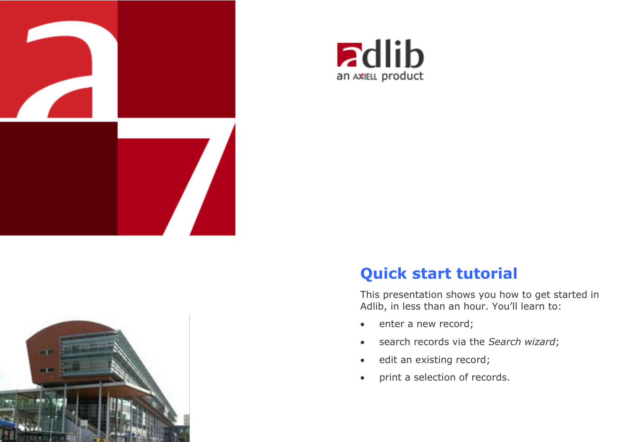



# **Quick start tutorial**

This presentation shows you how to get started in Adlib, in less than an hour. You'll learn to:

- enter a new record;
- search records via the *Search wizard*;
- edit an existing record;
- print a selection of records.

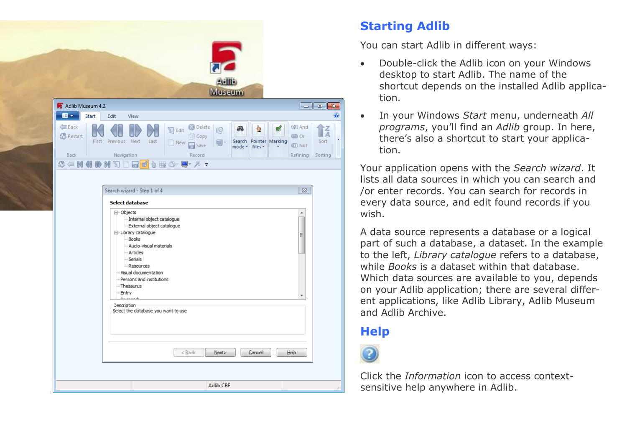|                                                |                                                                                                                                                                                                                                                                                                                                                                                      | <b>Adito</b><br>Museum                                                                   |                                                               |                                                                                                                   |                     |
|------------------------------------------------|--------------------------------------------------------------------------------------------------------------------------------------------------------------------------------------------------------------------------------------------------------------------------------------------------------------------------------------------------------------------------------------|------------------------------------------------------------------------------------------|---------------------------------------------------------------|-------------------------------------------------------------------------------------------------------------------|---------------------|
| Adlib Museum 4.2                               |                                                                                                                                                                                                                                                                                                                                                                                      |                                                                                          |                                                               | $\begin{array}{c c c c c c} \hline \multicolumn{3}{c }{\mathbf{C}} & \multicolumn{3}{c }{\mathbf{X}} \end{array}$ |                     |
| $\blacksquare$<br>Start                        | Edit<br>View                                                                                                                                                                                                                                                                                                                                                                         |                                                                                          |                                                               |                                                                                                                   | $\ddot{\mathbf{0}}$ |
| Back<br><b>Restart</b><br>First<br><b>Back</b> | $\mathbb{S}$ Edit<br>Previous Next<br>Last<br>Rew<br>Navigation<br><b>Q + K (I II) M Q D &amp; G &amp; B Q · Q · X -</b>                                                                                                                                                                                                                                                             | <b>B</b> Delete<br>$\mathbb{Q}$<br><b>Copy</b><br>$\circledast$<br>$\Box$ Save<br>Record | A<br>Ö<br>ø<br>Search Pointer<br>Marking<br>mode *<br>files * | <b>I</b> And<br><b>OD</b> Or<br>Sort<br><b>O</b> Not<br>Refining<br>Sorting                                       | $\overline{A}$      |
|                                                |                                                                                                                                                                                                                                                                                                                                                                                      |                                                                                          |                                                               |                                                                                                                   |                     |
|                                                | Search wizard - Step 1 of 4<br><b>Select database</b><br>□ Objects<br>-- Internal object catalogue<br>External object catalogue<br>- Library catalogue<br>-Books<br>-- Audio-visual materials<br>- Articles<br>- Serials<br><b>Resources</b><br>Visual documentation<br>Persons and institutions<br>Thesaurus<br>Entry<br>$n-$<br>Description<br>Select the database you want to use |                                                                                          |                                                               | $\overline{\mathbb{Z}}$<br>▲<br>Ξ                                                                                 |                     |
|                                                |                                                                                                                                                                                                                                                                                                                                                                                      | $Back$<br>Next                                                                           | Cancel                                                        | Help                                                                                                              |                     |

## **Starting Adlib**

You can start Adlib in different ways:

- Double-click the Adlib icon on your Windows desktop to start Adlib. The name of the shortcut depends on the installed Adlib application.
- In your Windows *Start* menu, underneath *All programs*, you'll find an *Adlib* group. In here, there's also a shortcut to start your application.

Your application opens with the *Search wizard*. It lists all data sources in which you can search and /or enter records. You can search for records in every data source, and edit found records if you wish.

A data source represents a database or a logical part of such a database, a dataset. In the example to the left, *Library catalogue* refers to a database, while *Books* is a dataset within that database. Which data sources are available to you, depends on your Adlib application; there are several different applications, like Adlib Library, Adlib Museum and Adlib Archive.

# **Help**



Click the *Information* icon to access contextsensitive help anywhere in Adlib.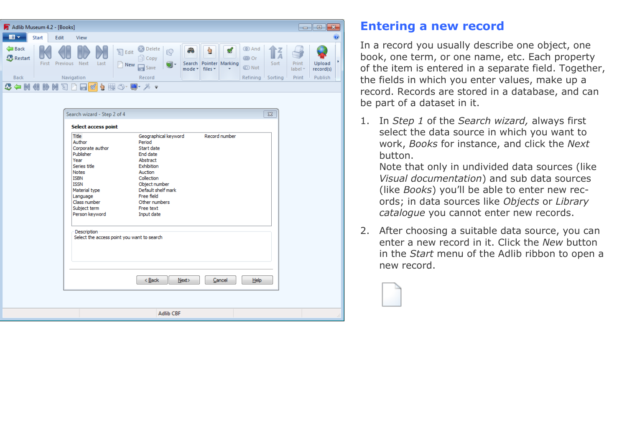| Adlib Museum 4.2 - [Books]<br>$\mathbf{x}$<br>-0<br>$\Box$ |       |            |      |      |                                  |                                                 |         |                       |         |                                 |                                               |         |                         |                     |           |
|------------------------------------------------------------|-------|------------|------|------|----------------------------------|-------------------------------------------------|---------|-----------------------|---------|---------------------------------|-----------------------------------------------|---------|-------------------------|---------------------|-----------|
| $\blacksquare$                                             | Start | Edit       | View |      |                                  |                                                 |         |                       |         |                                 |                                               |         |                         |                     | $\bullet$ |
| Back<br>Restart                                            | First | Previous   | Next | Last | $\sqrt{\phantom{a}}$ Edit<br>New | <b>B</b> Delete<br><b>Q</b> Copy<br>$\Box$ Save | q<br>뗢- | æ<br>Search<br>mode - | files * | Pointer Marking<br>$\mathbf{r}$ | <b>O</b> And<br><b>CD</b> Or<br><b>CO</b> Not | Sort    | - 1<br>Print<br>label - | Upload<br>record(s) |           |
| <b>Back</b>                                                |       | Navigation |      |      |                                  | Record                                          |         |                       |         |                                 | Refining                                      | Sorting | Print                   | Publish             |           |
| <b>CONSUMPLES</b>                                          |       |            |      |      |                                  |                                                 |         |                       |         |                                 |                                               |         |                         |                     |           |

| Title                                                     | Geographical keyword         | Record number |    |  |
|-----------------------------------------------------------|------------------------------|---------------|----|--|
| Author                                                    | Period                       |               |    |  |
| Corporate author                                          | Start date                   |               |    |  |
| Publisher                                                 | <b>End date</b>              |               |    |  |
| Year                                                      | Abstract                     |               |    |  |
| Series title                                              | Exhibition                   |               |    |  |
| <b>Notes</b>                                              | Auction                      |               |    |  |
| <b>ISBN</b>                                               | Collection                   |               |    |  |
| <b>TSSN</b>                                               | Object number                |               |    |  |
| Material type                                             | Default shelf mark           |               |    |  |
| Language                                                  | Free field                   |               |    |  |
| Class number                                              | Other numbers                |               |    |  |
| Subject term                                              | Free text                    |               |    |  |
| Person keyword                                            | Input date                   |               |    |  |
| Description<br>Select the access point you want to search |                              |               |    |  |
|                                                           | Next                         | Cancel        |    |  |
|                                                           | $<\underline{\mathsf{Back}}$ |               | He |  |

#### **Entering a new record**

In a record you usually describe one object, one book, one term, or one name, etc. Each property of the item is entered in a separate field. Together, the fields in which you enter values, make up a record. Records are stored in a database, and can be part of a dataset in it.

1. In *Step 1* of the *Search wizard,* always first select the data source in which you want to work, *Books* for instance, and click the *Next* button.

Note that only in undivided data sources (like *Visual documentation*) and sub data sources (like *Books*) you'll be able to enter new records; in data sources like *Objects* or *Library catalogue* you cannot enter new records.

2. After choosing a suitable data source, you can enter a new record in it. Click the *New* button in the *Start* menu of the Adlib ribbon to open a new record.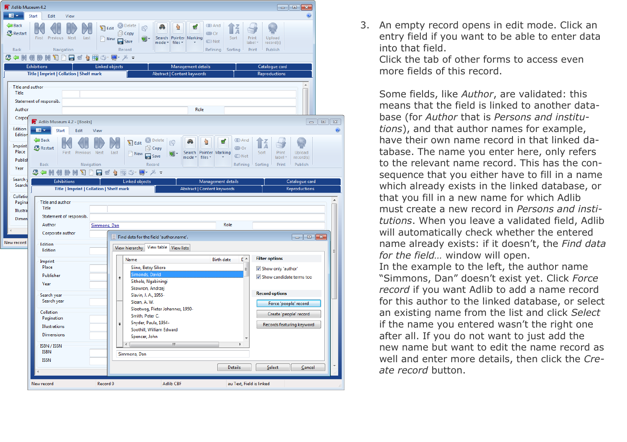

3. An empty record opens in edit mode. Click an entry field if you want to be able to enter data into that field.

Click the tab of other forms to access even more fields of this record.

Some fields, like *Author*, are validated: this means that the field is linked to another database (for *Author* that is *Persons and institutions*), and that author names for example, have their own name record in that linked database. The name you enter here, only refers to the relevant name record. This has the consequence that you either have to fill in a name which already exists in the linked database, or that you fill in a new name for which Adlib must create a new record in *Persons and institutions*. When you leave a validated field, Adlib will automatically check whether the entered name already exists: if it doesn't, the *Find data for the field…* window will open. In the example to the left, the author name "Simmons, Dan" doesn't exist yet. Click *Force record* if you want Adlib to add a name record for this author to the linked database, or select an existing name from the list and click *Select* if the name you entered wasn't the right one after all. If you do not want to just add the new name but want to edit the name record as well and enter more details, then click the *Create record* button.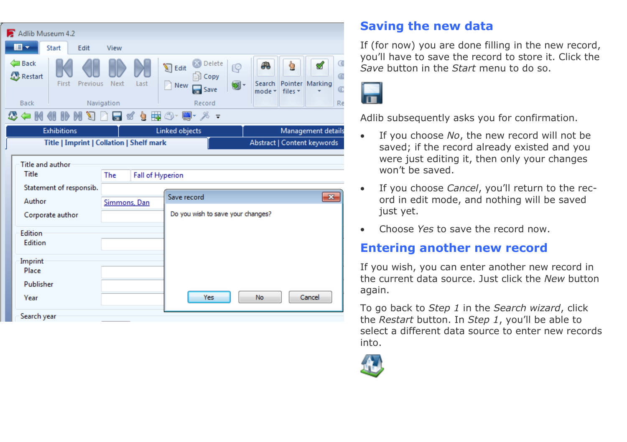| Adlib Museum 4.2                                                                   |                                                 |                                                                 |                                                                               |  |  |  |  |  |
|------------------------------------------------------------------------------------|-------------------------------------------------|-----------------------------------------------------------------|-------------------------------------------------------------------------------|--|--|--|--|--|
| $\blacksquare$<br>Start<br>Edit                                                    | View                                            |                                                                 |                                                                               |  |  |  |  |  |
| Back<br>Restart<br>First<br>Previous                                               | Next<br>Last                                    | Delete<br>$\sum$ Edit<br>19<br><b>Copy</b><br>⊌∽<br>New<br>Save | C<br>48<br>h<br>ⅆ<br>a<br>Pointer Marking<br>Search<br>Œ<br>files *<br>mode * |  |  |  |  |  |
| <b>Back</b>                                                                        | Navigation                                      | Record                                                          | Re                                                                            |  |  |  |  |  |
| <b>₩◎</b> ・₩・※ -<br>K<br>V.<br>Þ<br>M                                              |                                                 |                                                                 |                                                                               |  |  |  |  |  |
| <b>Exhibitions</b>                                                                 |                                                 | Linked objects                                                  | Management details                                                            |  |  |  |  |  |
|                                                                                    | <b>Title   Imprint   Collation   Shelf mark</b> |                                                                 | Abstract   Content keywords                                                   |  |  |  |  |  |
| Title and author<br>Title<br>Statement of responsib.<br>Author<br>Corporate author | Fall of Hyperion<br>The<br>Simmons, Dan         | Save record<br>Do you wish to save your changes?                | $\mathbf{x}$                                                                  |  |  |  |  |  |
| Edition                                                                            |                                                 |                                                                 |                                                                               |  |  |  |  |  |
| Edition                                                                            |                                                 |                                                                 |                                                                               |  |  |  |  |  |
| Imprint<br>Place<br>Publisher<br>Year                                              |                                                 | Yes                                                             | Cancel<br>No                                                                  |  |  |  |  |  |
| Search year                                                                        |                                                 |                                                                 |                                                                               |  |  |  |  |  |

## **Saving the new data**

If (for now) you are done filling in the new record, you'll have to save the record to store it. Click the *Save* button in the *Start* menu to do so.



Adlib subsequently asks you for confirmation.

- If you choose *No*, the new record will not be saved; if the record already existed and you were just editing it, then only your changes won't be saved.
- If you choose *Cancel*, you'll return to the record in edit mode, and nothing will be saved just yet.
- Choose *Yes* to save the record now.

#### **Entering another new record**

If you wish, you can enter another new record in the current data source. Just click the *New* button again.

To go back to *Step 1* in the *Search wizard*, click the *Restart* button. In *Step 1*, you'll be able to select a different data source to enter new records into.

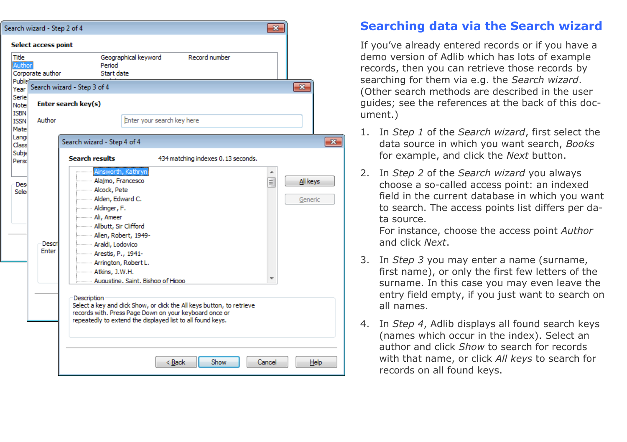|                                     | arch wizard - Step 2 of 4 |                                                                                                                                                                                                                                                                                                                    | $\mathbf{x}$ |                     |
|-------------------------------------|---------------------------|--------------------------------------------------------------------------------------------------------------------------------------------------------------------------------------------------------------------------------------------------------------------------------------------------------------------|--------------|---------------------|
|                                     | Select access point       |                                                                                                                                                                                                                                                                                                                    |              |                     |
| Title<br>Author                     | Corporate author          | Record number<br>Geographical keyword<br>Period<br>Start date                                                                                                                                                                                                                                                      |              |                     |
| Publis <sup>1</sup><br>Year         |                           | Search wizard - Step 3 of 4                                                                                                                                                                                                                                                                                        |              | $-23$               |
| Serie<br><b>Note</b><br><b>ISBN</b> | Enter search key(s)       |                                                                                                                                                                                                                                                                                                                    |              |                     |
| <b>ISSN</b><br>Mate                 | Author                    | Enter your search key here                                                                                                                                                                                                                                                                                         |              |                     |
| Lang<br>Class                       |                           | Search wizard - Step 4 of 4                                                                                                                                                                                                                                                                                        |              | Ð                   |
| Subjo<br>Perso                      |                           | <b>Search results</b><br>434 matching indexes 0.13 seconds.                                                                                                                                                                                                                                                        |              |                     |
| Des<br>Sele                         | Descri<br>Enter           | Ainsworth, Kathryn<br>- Alajmo, Francesco<br>Alcock, Pete<br>Milden, Edward C.<br>Maldinger, F.<br>--------- Ali, Ameer<br>Allbutt, Sir Clifford<br>Allen, Robert, 1949-<br>Araldi, Lodovico<br>--------- Arestis, P., 1941-<br>Arrington, Robert L.<br><b>Atkins, J.W.H.</b><br>Augustine, Saint, Bishop of Hippo | ▲<br>≡       | All keys<br>Generic |
|                                     |                           | Description<br>Select a key and click Show, or click the All keys button, to retrieve<br>records with. Press Page Down on your keyboard once or<br>repeatedly to extend the displayed list to all found keys.                                                                                                      |              |                     |
|                                     |                           |                                                                                                                                                                                                                                                                                                                    |              |                     |
|                                     |                           | Show<br>< <u>B</u> ack                                                                                                                                                                                                                                                                                             | Cancel       | Help                |

 $\sqrt{s}$ 

### **Searching data via the Search wizard**

If you've already entered records or if you have a demo version of Adlib which has lots of example records, then you can retrieve those records by searching for them via e.g. the *Search wizard*. (Other search methods are described in the user guides; see the references at the back of this document.)

- 1. In *Step 1* of the *Search wizard*, first select the data source in which you want search, *Books* for example, and click the *Next* button.
- 2. In *Step 2* of the *Search wizard* you always choose a so-called access point: an indexed field in the current database in which you want to search. The access points list differs per data source.

For instance, choose the access point *Author* and click *Next*.

- 3. In *Step 3* you may enter a name (surname, first name), or only the first few letters of the surname. In this case you may even leave the entry field empty, if you just want to search on all names.
- 4. In *Step 4*, Adlib displays all found search keys (names which occur in the index). Select an author and click *Show* to search for records with that name, or click *All keys* to search for records on all found keys.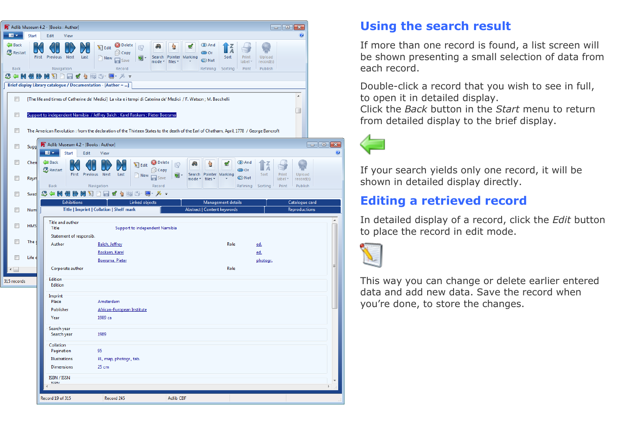

#### **Using the search result**

If more than one record is found, a list screen will be shown presenting a small selection of data from each record.

Double-click a record that you wish to see in full, to open it in detailed display.

Click the *Back* button in the *Start* menu to return from detailed display to the brief display.



If your search yields only one record, it will be shown in detailed display directly.

## **Editing a retrieved record**

In detailed display of a record, click the *Edit* button to place the record in edit mode.



This way you can change or delete earlier entered data and add new data. Save the record when you're done, to store the changes.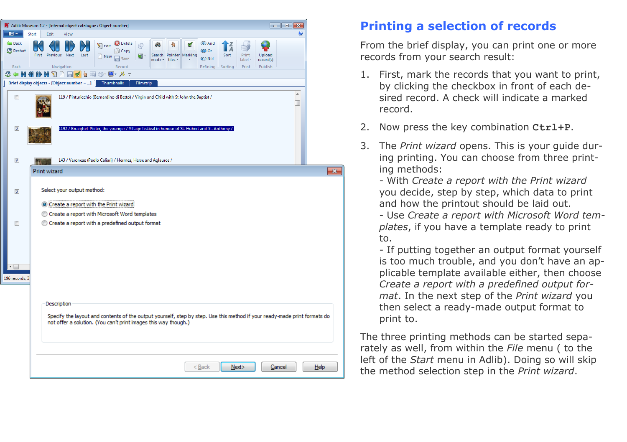| Adlib Museum 4.2 - [Internal object catalogue : Object number]<br>$\mathbf{x}$<br>- - |                                                                                                                                                                                                                  |                                         |  |  |  |  |  |
|---------------------------------------------------------------------------------------|------------------------------------------------------------------------------------------------------------------------------------------------------------------------------------------------------------------|-----------------------------------------|--|--|--|--|--|
| $\blacksquare$                                                                        | <b>Start</b><br>Edit<br>View                                                                                                                                                                                     | ۷                                       |  |  |  |  |  |
| Back<br>Restart                                                                       | Delete<br><b>I</b> And<br>æ<br>ÌÃ<br>Edit<br>M<br>Q<br><b>Copy</b><br><b>O</b> Or<br>Previous Next<br><b>First</b><br>Last<br>Search Pointer Marking<br>Sort<br>New<br>Save<br><b>I</b> Not<br>mode +<br>files * | Upload<br>Print<br>record(s)<br>label - |  |  |  |  |  |
| Back                                                                                  | Navigation<br>Record<br>Refining<br>Sorting                                                                                                                                                                      | Publish<br>Print                        |  |  |  |  |  |
| $\mathfrak{D} \Leftarrow \mathbb{M}$                                                  | <b>IF MOD</b><br>・おっ<br>$\blacksquare$<br>÷.<br>$\boxplus \circledcirc$                                                                                                                                          |                                         |  |  |  |  |  |
|                                                                                       | Brief display objects - [Object number = ]<br>Thumbnails<br>Filmstrip                                                                                                                                            |                                         |  |  |  |  |  |
| E                                                                                     | 119 / Pinturicchio (Bernardino di Betto) / Virgin and Child with St John the Baptist /                                                                                                                           | ۸<br>O                                  |  |  |  |  |  |
| $\overline{\mathcal{A}}$                                                              | 1192 / Brueghel, Pieter, the younger / Village festival in honour of St. Hubert and St. Anthony /                                                                                                                |                                         |  |  |  |  |  |
| $\overline{\mathcal{A}}$                                                              | 143 / Veronese (Paolo Caliari) / Hermes, Herse and Aglauros /                                                                                                                                                    |                                         |  |  |  |  |  |
|                                                                                       | <b>Print wizard</b>                                                                                                                                                                                              |                                         |  |  |  |  |  |
| $\overline{\mathcal{A}}$<br>$\Box$<br>←⊫<br>196 records, 3                            | Select your output method:<br>O Create a report with the Print wizard<br>Create a report with Microsoft Word templates<br>Create a report with a predefined output format                                        |                                         |  |  |  |  |  |
|                                                                                       | Description<br>Specify the layout and contents of the output yourself, step by step. Use this method if your ready-made print formats do<br>not offer a solution. (You can't print images this way though.)      |                                         |  |  |  |  |  |
|                                                                                       |                                                                                                                                                                                                                  |                                         |  |  |  |  |  |
|                                                                                       | < Back                                                                                                                                                                                                           | Help<br>Next><br>Cancel                 |  |  |  |  |  |

# **Printing a selection of records**

From the brief display, you can print one or more records from your search result:

- 1. First, mark the records that you want to print, by clicking the checkbox in front of each desired record. A check will indicate a marked record.
- 2. Now press the key combination **Ctrl+P**.
- 3. The *Print wizard* opens. This is your guide during printing. You can choose from three printing methods:

- With *Create a report with the Print wizard* you decide, step by step, which data to print and how the printout should be laid out.

- Use *Create a report with Microsoft Word templates*, if you have a template ready to print to.

- If putting together an output format yourself is too much trouble, and you don't have an applicable template available either, then choose *Create a report with a predefined output format*. In the next step of the *Print wizard* you then select a ready-made output format to print to.

The three printing methods can be started separately as well, from within the *File* menu ( to the left of the *Start* menu in Adlib). Doing so will skip the method selection step in the *Print wizard*.